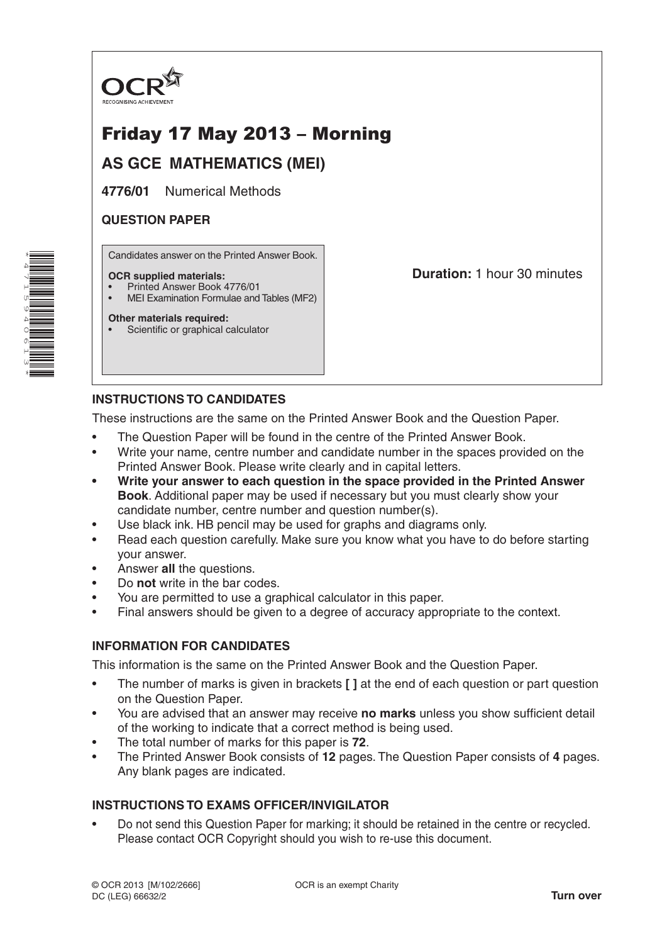

# Friday 17 May 2013 – Morning

## **AS GCE MATHEMATICS (MEI)**

**4776/01** Numerical Methods

### **QUESTION PAPER**

Candidates answer on the Printed Answer Book.

#### **OCR supplied materials:**

- Printed Answer Book 4776/01
- MEI Examination Formulae and Tables (MF2)

#### **Other materials required:**

• Scientific or graphical calculator

**Duration:** 1 hour 30 minutes

#### **INSTRUCTIONS TO CANDIDATES**

These instructions are the same on the Printed Answer Book and the Question Paper.

- The Question Paper will be found in the centre of the Printed Answer Book.
- Write your name, centre number and candidate number in the spaces provided on the Printed Answer Book. Please write clearly and in capital letters.
- **• Write your answer to each question in the space provided in the Printed Answer Book**. Additional paper may be used if necessary but you must clearly show your candidate number, centre number and question number(s).
- Use black ink. HB pencil may be used for graphs and diagrams only.
- Read each question carefully. Make sure you know what you have to do before starting your answer.
- Answer **all** the questions.
- Do **not** write in the bar codes.
- You are permitted to use a graphical calculator in this paper.
- Final answers should be given to a degree of accuracy appropriate to the context.

#### **INFORMATION FOR CANDIDATES**

This information is the same on the Printed Answer Book and the Question Paper.

- The number of marks is given in brackets **[ ]** at the end of each question or part question on the Question Paper.
- You are advised that an answer may receive **no marks** unless you show sufficient detail of the working to indicate that a correct method is being used.
- The total number of marks for this paper is **72**.
- The Printed Answer Book consists of **12** pages. The Question Paper consists of **4** pages. Any blank pages are indicated.

#### **INSTRUCTIONS TO EXAMS OFFICER/INVIGILATOR**

• Do not send this Question Paper for marking; it should be retained in the centre or recycled. Please contact OCR Copyright should you wish to re-use this document.

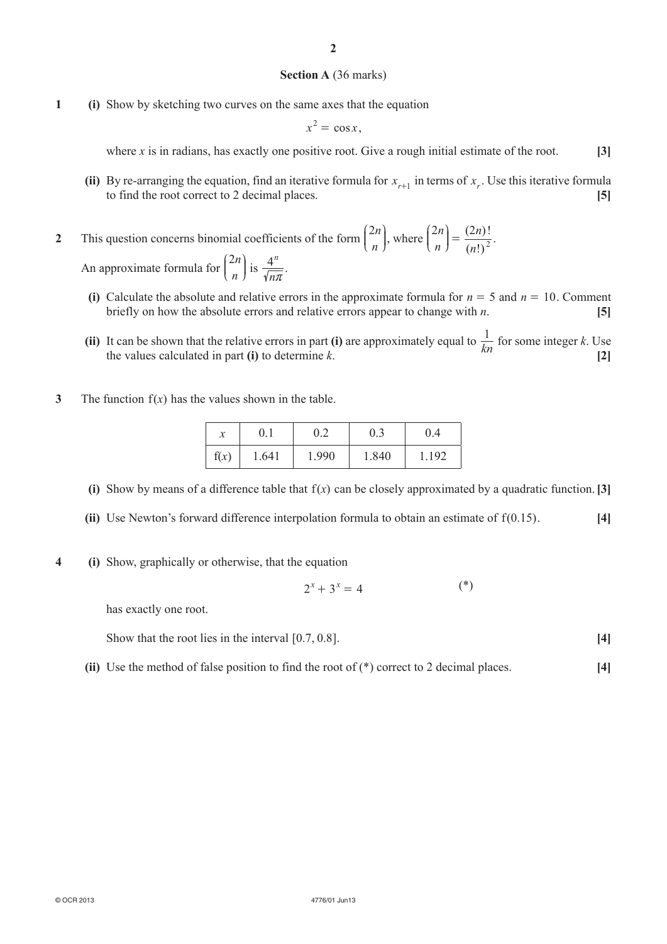#### **Section A** (36 marks)

**1 (i)** Show by sketching two curves on the same axes that the equation

$$
x^2 = \cos x,
$$

where *x* is in radians, has exactly one positive root. Give a rough initial estimate of the root.  $[3]$ 

- (ii) By re-arranging the equation, find an iterative formula for  $x_{r+1}$  in terms of  $x_r$ . Use this iterative formula to find the root correct to 2 decimal places. to find the root correct to 2 decimal places. **[5]**
- **2** This question concerns binomial coefficients of the form  $\binom{2n}{n}$  $\sqrt{2}$ L  $\binom{2n}{n}$ where  $\binom{2n}{n} = \frac{(2n)!}{(n!)^2}$ *n n*  $\binom{2n}{n} = \frac{(2n)!}{(n!)^2}$  $\binom{2n}{n}$  $\overline{y}$  $= \frac{(-1)^{2}}{(-1)^{2}}$ . An approximate formula for  $\binom{2n}{n}$  $\sqrt{2}$ L  $\binom{2n}{n}$  $\overline{y}$  $\int$  is  $\frac{1}{\sqrt{n}}$ 4*n*  $\overline{\overline{\pi}}$ .
	- **(i)** Calculate the absolute and relative errors in the approximate formula for  $n = 5$  and  $n = 10$ . Comment briefly on how the absolute errors and relative errors appear to change with *n*. **[5]**
	- **(ii)** It can be shown that the relative errors in part **(i)** are approximately equal to  $\frac{1}{kn}$  for some integer *k*. Use the values coloulated in part **(i)** to determine *k* the values calculated in part **(i)** to determine *k*. [2]
- **3** The function  $f(x)$  has the values shown in the table.

| $\boldsymbol{x}$ |       |       | U.J   |       |
|------------------|-------|-------|-------|-------|
| f(x)             | 1.641 | 1.990 | 1.840 | 1.192 |

- (i) Show by means of a difference table that  $f(x)$  can be closely approximated by a quadratic function. [3]
- **(ii)** Use Newton's forward difference interpolation formula to obtain an estimate of  $f(0.15)$ .
- **4 (i)** Show, graphically or otherwise, that the equation

$$
2^x + 3^x = 4 \tag{*}
$$

has exactly one root.

Show that the root lies in the interval  $[0.7, 0.8]$ . [4]

**(ii)** Use the method of false position to find the root of (\*) correct to 2 decimal places. **[4]**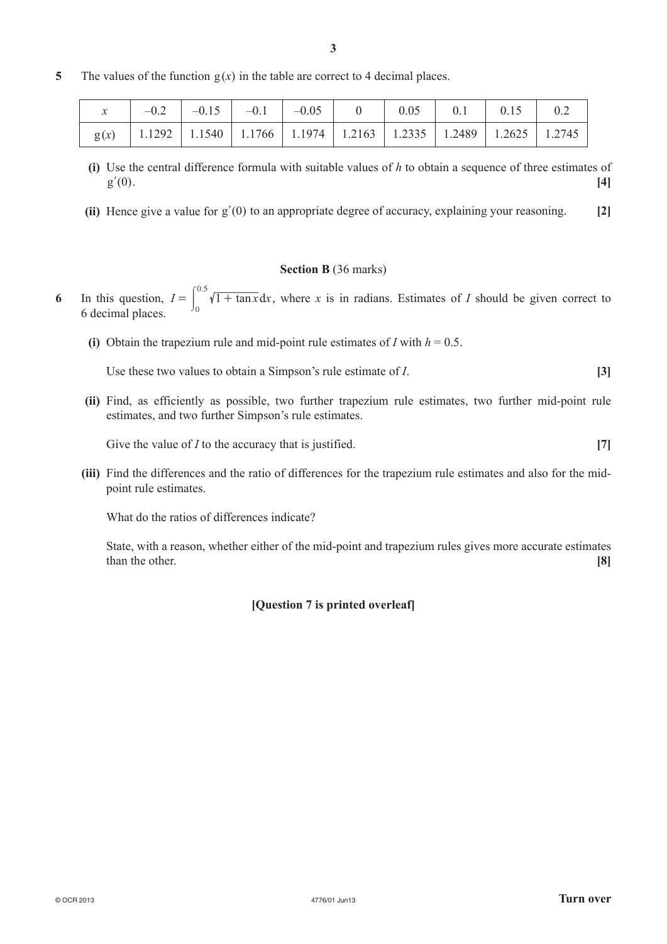**5** The values of the function  $g(x)$  in the table are correct to 4 decimal places.

|                                                                                         |  |  |  | $-0.2$ $-0.15$ $-0.1$ $-0.05$ 0 0.05 0.1 0.15 0.2 |  |
|-----------------------------------------------------------------------------------------|--|--|--|---------------------------------------------------|--|
| $g(x)$   1.1292   1.1540   1.1766   1.1974   1.2163   1.2335   1.2489   1.2625   1.2745 |  |  |  |                                                   |  |

- **(i)** Use the central difference formula with suitable values of *h* to obtain a sequence of three estimates of  $g'(0)$ . **[4]**
- **(ii)** Hence give a value for g'(0) to an appropriate degree of accuracy, explaining your reasoning. **[2]**

#### **Section B** (36 marks)

- 6 In this question,  $I = \int_0^{0.5} \sqrt{1 + \tan x} dx$  $=\int_{0}^{0.5} \sqrt{1 + \tan x} dx$ , where *x* is in radians. Estimates of *I* should be given correct to 6 decimal places.
	- (i) Obtain the trapezium rule and mid-point rule estimates of *I* with  $h = 0.5$ .

Use these two values to obtain a Simpson's rule estimate of *I*. **[3]**

**(ii)** Find, as efficiently as possible, two further trapezium rule estimates, two further mid-point rule estimates, and two further Simpson's rule estimates.

**Give the value of** *I* **to the accuracy that is justified.** [7]

**(iii)** Find the differences and the ratio of differences for the trapezium rule estimates and also for the midpoint rule estimates.

What do the ratios of differences indicate?

State, with a reason, whether either of the mid-point and trapezium rules gives more accurate estimates than the other. **[8]**

#### **[Question 7 is printed overleaf]**